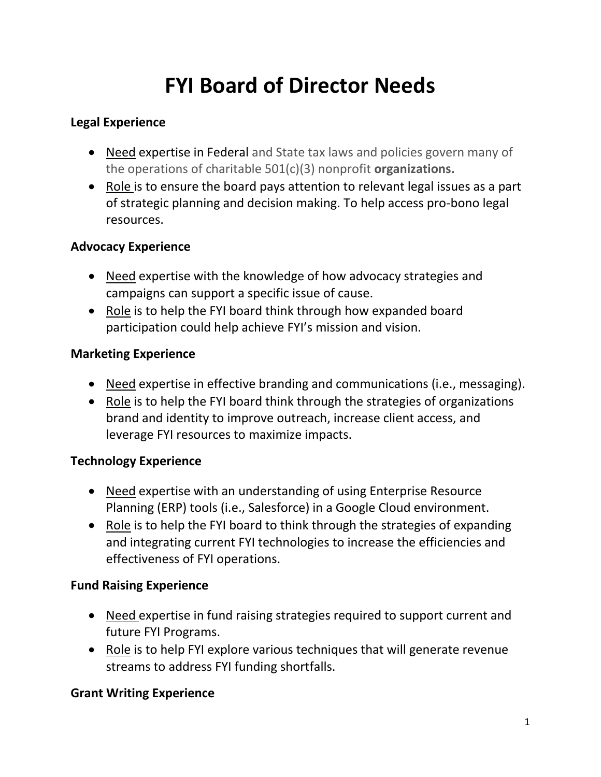# **FYI Board of Director Needs**

## **Legal Experience**

- Need expertise in Federal and State tax laws and policies govern many of the operations of charitable 501(c)(3) nonprofit **organizations.**
- Role is to ensure the board pays attention to relevant legal issues as a part of strategic planning and decision making. To help access pro-bono legal resources.

## **Advocacy Experience**

- Need expertise with the knowledge of how advocacy strategies and campaigns can support a specific issue of cause.
- Role is to help the FYI board think through how expanded board participation could help achieve FYI's mission and vision.

## **Marketing Experience**

- Need expertise in effective branding and communications (i.e., messaging).
- Role is to help the FYI board think through the strategies of organizations brand and identity to improve outreach, increase client access, and leverage FYI resources to maximize impacts.

# **Technology Experience**

- Need expertise with an understanding of using Enterprise Resource Planning (ERP) tools (i.e., Salesforce) in a Google Cloud environment.
- Role is to help the FYI board to think through the strategies of expanding and integrating current FYI technologies to increase the efficiencies and effectiveness of FYI operations.

#### **Fund Raising Experience**

- Need expertise in fund raising strategies required to support current and future FYI Programs.
- Role is to help FYI explore various techniques that will generate revenue streams to address FYI funding shortfalls.

# **Grant Writing Experience**